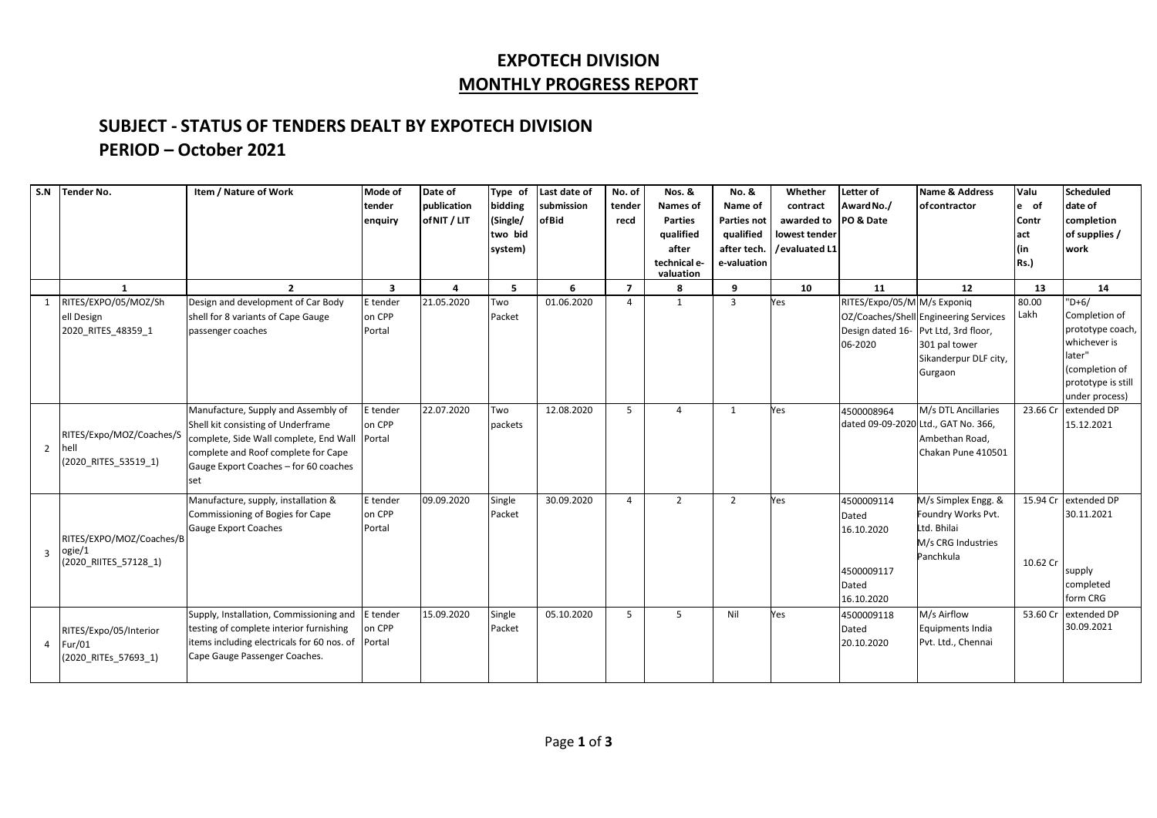## **EXPOTECH DIVISION MONTHLY PROGRESS REPORT**

## **SUBJECT - STATUS OF TENDERS DEALT BY EXPOTECH DIVISION PERIOD – October 2021**

| S.N            | <b>Tender No.</b>                                           | Item / Nature of Work                                                                                                                                                                                      | Mode of<br>tender<br>enquiry | Date of<br>publication<br>of NIT / LIT | Type of<br>bidding<br>(Single/<br>two bid<br>system) | Last date of<br>submission<br><b>ofBid</b> | No. of<br>tender<br>recd | Nos. &<br><b>Names of</b><br><b>Parties</b><br>qualified<br>after<br>technical e-<br>valuation | No. &<br>Name of<br><b>Parties not</b><br>qualified<br>after tech.<br>e-valuation | Whether<br>contract<br>awarded to<br>lowest tender<br>/evaluated L1 | Letter of<br>Award No./<br>PO & Date                                   | Name & Address<br>ofcontractor                                                                                                    | Valu<br>le of<br>Contr<br>act<br>(in<br><b>Rs.)</b> | <b>Scheduled</b><br>date of<br>completion<br>of supplies /<br>work                                                               |
|----------------|-------------------------------------------------------------|------------------------------------------------------------------------------------------------------------------------------------------------------------------------------------------------------------|------------------------------|----------------------------------------|------------------------------------------------------|--------------------------------------------|--------------------------|------------------------------------------------------------------------------------------------|-----------------------------------------------------------------------------------|---------------------------------------------------------------------|------------------------------------------------------------------------|-----------------------------------------------------------------------------------------------------------------------------------|-----------------------------------------------------|----------------------------------------------------------------------------------------------------------------------------------|
|                | $\mathbf{1}$                                                | $\overline{2}$                                                                                                                                                                                             | $\overline{\mathbf{3}}$      | $\overline{\mathbf{a}}$                | 5.                                                   | 6                                          | $\overline{7}$           | 8                                                                                              | 9                                                                                 | 10                                                                  | 11                                                                     | 12                                                                                                                                | 13                                                  | 14                                                                                                                               |
| 1              | RITES/EXPO/05/MOZ/Sh<br>ell Design<br>2020 RITES 48359 1    | Design and development of Car Body<br>shell for 8 variants of Cape Gauge<br>passenger coaches                                                                                                              | E tender<br>on CPP<br>Portal | 21.05.2020                             | Two<br>Packet                                        | 01.06.2020                                 | $\overline{a}$           | $\mathbf{1}$                                                                                   | $\overline{3}$                                                                    | Yes                                                                 | RITES/Expo/05/M M/s Exponiq<br>06-2020                                 | OZ/Coaches/Shell Engineering Services<br>Design dated 16-Pvt Ltd, 3rd floor,<br>301 pal tower<br>Sikanderpur DLF city,<br>Gurgaon | 80.00<br>Lakh                                       | $"D+6/$<br>Completion of<br>prototype coach,<br>whichever is<br>later"<br>(completion of<br>prototype is still<br>under process) |
| 2              | RITES/Expo/MOZ/Coaches/S<br>hell<br>(2020_RITES_53519_1)    | Manufacture, Supply and Assembly of<br>Shell kit consisting of Underframe<br>complete, Side Wall complete, End Wall<br>complete and Roof complete for Cape<br>Gauge Export Coaches - for 60 coaches<br>set | E tender<br>on CPP<br>Portal | 22.07.2020                             | Two<br>packets                                       | 12.08.2020                                 | 5                        | $\Delta$                                                                                       | 1                                                                                 | Yes                                                                 | 4500008964                                                             | M/s DTL Ancillaries<br>dated 09-09-2020 Ltd., GAT No. 366,<br>Ambethan Road,<br>Chakan Pune 410501                                | 23.66 Cr                                            | extended DP<br>15.12.2021                                                                                                        |
| $\overline{3}$ | RITES/EXPO/MOZ/Coaches/B<br>ogie/1<br>(2020 RIITES 57128 1) | Manufacture, supply, installation &<br>Commissioning of Bogies for Cape<br><b>Gauge Export Coaches</b>                                                                                                     | E tender<br>on CPP<br>Portal | 09.09.2020                             | Single<br>Packet                                     | 30.09.2020                                 | $\overline{4}$           | $\overline{2}$                                                                                 | $\overline{2}$                                                                    | Yes                                                                 | 4500009114<br>Dated<br>16.10.2020<br>4500009117<br>Dated<br>16.10.2020 | M/s Simplex Engg. &<br>Foundry Works Pvt.<br>Ltd. Bhilai<br>M/s CRG Industries<br>Panchkula                                       | 15.94 Cr<br>10.62 Cr                                | extended DP<br>30.11.2021<br>supply<br>completed<br>form CRG                                                                     |
|                | RITES/Expo/05/Interior<br>Fur/01<br>(2020 RITEs 57693 1)    | Supply, Installation, Commissioning and<br>testing of complete interior furnishing<br>items including electricals for 60 nos. of<br>Cape Gauge Passenger Coaches.                                          | E tender<br>on CPP<br>Portal | 15.09.2020                             | Single<br>Packet                                     | 05.10.2020                                 | 5                        | $5^{\circ}$                                                                                    | Nil                                                                               | Yes                                                                 | 4500009118<br><b>Dated</b><br>20.10.2020                               | M/s Airflow<br>Equipments India<br>Pvt. Ltd., Chennai                                                                             | 53.60 Cr                                            | extended DP<br>30.09.2021                                                                                                        |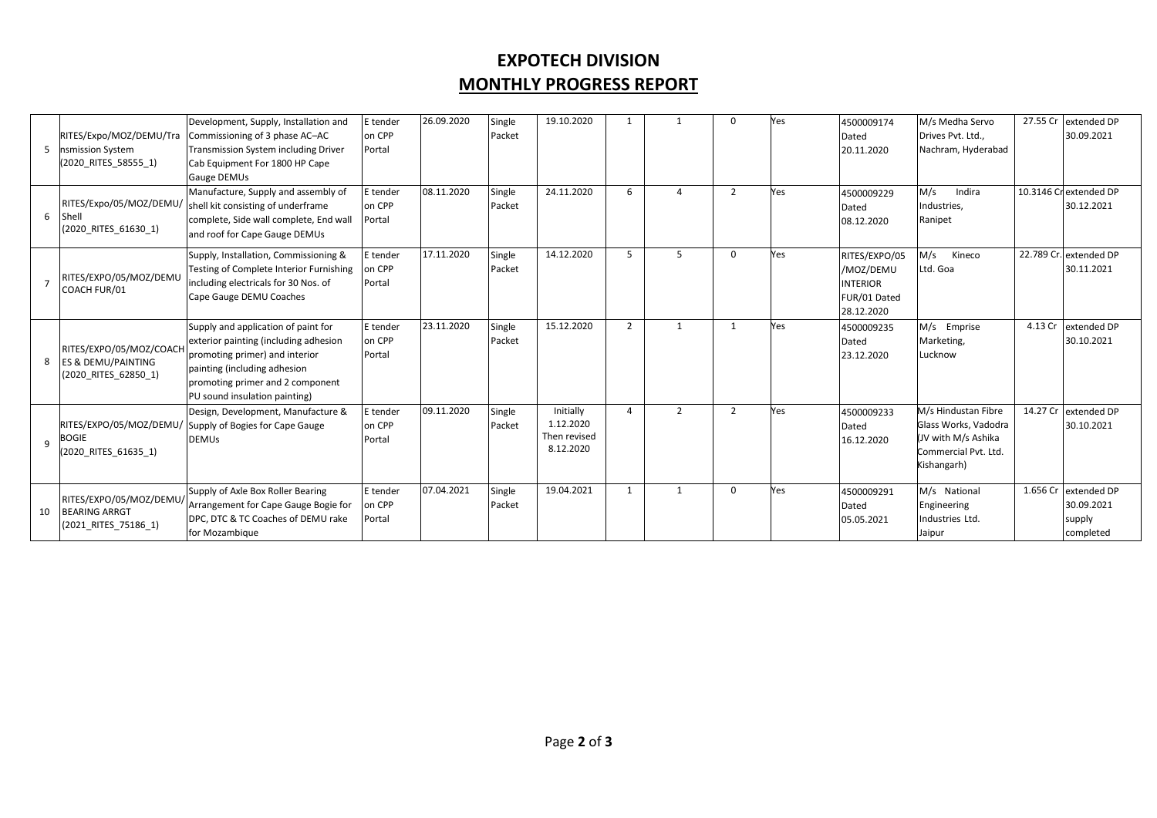## **EXPOTECH DIVISION MONTHLY PROGRESS REPORT**

| 5  | RITES/Expo/MOZ/DEMU/Tra<br>nsmission System<br>(2020 RITES 58555 1)              | Development, Supply, Installation and<br>Commissioning of 3 phase AC-AC<br>Transmission System including Driver<br>Cab Equipment For 1800 HP Cape<br><b>Gauge DEMUs</b>                                             | E tender<br>on CPP<br>Portal | 26.09.2020 | Single<br>Packet | 19.10.2020                                          |                |               | 0              | Yes | 4500009174<br>Dated<br>20.11.2020                                           | M/s Medha Servo<br>Drives Pvt. Ltd.,<br>Nachram, Hyderabad                                                |          | 27.55 Cr extended DP<br>30.09.2021               |
|----|----------------------------------------------------------------------------------|---------------------------------------------------------------------------------------------------------------------------------------------------------------------------------------------------------------------|------------------------------|------------|------------------|-----------------------------------------------------|----------------|---------------|----------------|-----|-----------------------------------------------------------------------------|-----------------------------------------------------------------------------------------------------------|----------|--------------------------------------------------|
| 6  | RITES/Expo/05/MOZ/DEMU/<br>Shell<br>(2020 RITES 61630 1)                         | Manufacture, Supply and assembly of<br>shell kit consisting of underframe<br>complete, Side wall complete, End wall<br>and roof for Cape Gauge DEMUs                                                                | E tender<br>on CPP<br>Portal | 08.11.2020 | Single<br>Packet | 24.11.2020                                          | 6              |               | $\overline{2}$ | Yes | 4500009229<br>Dated<br>08.12.2020                                           | M/s<br>Indira<br>Industries,<br>Ranipet                                                                   |          | 10.3146 Crextended DP<br>30.12.2021              |
|    | RITES/EXPO/05/MOZ/DEMU<br>COACH FUR/01                                           | Supply, Installation, Commissioning &<br>Testing of Complete Interior Furnishing<br>including electricals for 30 Nos. of<br>Cape Gauge DEMU Coaches                                                                 | E tender<br>on CPP<br>Portal | 17.11.2020 | Single<br>Packet | 14.12.2020                                          | 5              | 5             | <sup>0</sup>   | Yes | RITES/EXPO/05<br>/MOZ/DEMU<br><b>INTERIOR</b><br>FUR/01 Dated<br>28.12.2020 | M/s<br>Kineco<br>Ltd. Goa                                                                                 |          | 22.789 Cr. extended DP<br>30.11.2021             |
| 8  | RITES/EXPO/05/MOZ/COACH<br><b>ES &amp; DEMU/PAINTING</b><br>(2020 RITES 62850 1) | Supply and application of paint for<br>exterior painting (including adhesion<br>promoting primer) and interior<br>painting (including adhesion<br>promoting primer and 2 component<br>PU sound insulation painting) | E tender<br>on CPP<br>Portal | 23.11.2020 | Single<br>Packet | 15.12.2020                                          | $\overline{2}$ | $\mathbf{1}$  |                | Yes | 4500009235<br>Dated<br>23.12.2020                                           | M/s Emprise<br>Marketing,<br>Lucknow                                                                      | 4.13 Cr  | extended DP<br>30.10.2021                        |
| q  | BOGIE<br>(2020 RITES 61635 1)                                                    | Design, Development, Manufacture &<br>RITES/EXPO/05/MOZ/DEMU/ Supply of Bogies for Cape Gauge<br><b>DEMUs</b>                                                                                                       | E tender<br>on CPP<br>Portal | 09.11.2020 | Single<br>Packet | Initially<br>1.12.2020<br>Then revised<br>8.12.2020 | $\overline{4}$ | $\mathcal{P}$ | $\overline{2}$ | Yes | 4500009233<br>Dated<br>16.12.2020                                           | M/s Hindustan Fibre<br>Glass Works, Vadodra<br>(JV with M/s Ashika<br>Commercial Pvt. Ltd.<br>Kishangarh) | 14.27 Cr | extended DP<br>30.10.2021                        |
| 10 | RITES/EXPO/05/MOZ/DEMU<br><b>BEARING ARRGT</b><br>(2021 RITES 75186 1)           | Supply of Axle Box Roller Bearing<br>Arrangement for Cape Gauge Bogie for<br>DPC. DTC & TC Coaches of DEMU rake<br>for Mozambique                                                                                   | E tender<br>on CPP<br>Portal | 07.04.2021 | Single<br>Packet | 19.04.2021                                          | 1              | $\mathbf{1}$  | $\Omega$       | Yes | 4500009291<br>Dated<br>05.05.2021                                           | M/s National<br>Engineering<br>Industries Ltd.<br>Jaipur                                                  | 1.656 Cr | extended DP<br>30.09.2021<br>supply<br>completed |